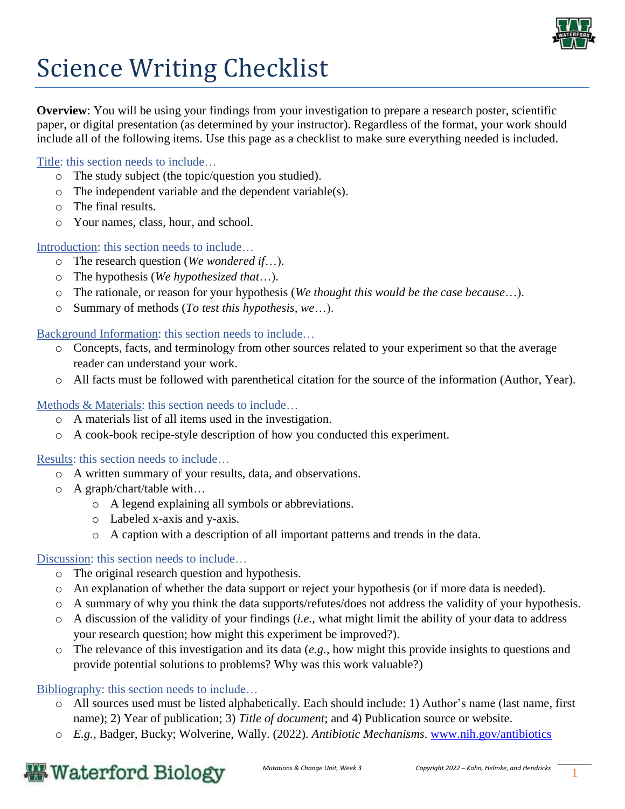

# Science Writing Checklist

**Overview**: You will be using your findings from your investigation to prepare a research poster, scientific paper, or digital presentation (as determined by your instructor). Regardless of the format, your work should include all of the following items. Use this page as a checklist to make sure everything needed is included.

### Title: this section needs to include…

- o The study subject (the topic/question you studied).
- $\circ$  The independent variable and the dependent variable(s).
- o The final results.
- o Your names, class, hour, and school.

Introduction: this section needs to include…

- o The research question (*We wondered if*…).
- o The hypothesis (*We hypothesized that*…).
- o The rationale, or reason for your hypothesis (*We thought this would be the case because*…).
- o Summary of methods (*To test this hypothesis, we*…).

### Background Information: this section needs to include…

- o Concepts, facts, and terminology from other sources related to your experiment so that the average reader can understand your work.
- o All facts must be followed with parenthetical citation for the source of the information (Author, Year).

### Methods & Materials: this section needs to include…

- o A materials list of all items used in the investigation.
- o A cook-book recipe-style description of how you conducted this experiment.

### Results: this section needs to include…

- o A written summary of your results, data, and observations.
- o A graph/chart/table with…
	- o A legend explaining all symbols or abbreviations.
	- o Labeled x-axis and y-axis.
	- o A caption with a description of all important patterns and trends in the data.

### Discussion: this section needs to include…

- o The original research question and hypothesis.
- o An explanation of whether the data support or reject your hypothesis (or if more data is needed).
- o A summary of why you think the data supports/refutes/does not address the validity of your hypothesis.
- o A discussion of the validity of your findings (*i.e.*, what might limit the ability of your data to address your research question; how might this experiment be improved?).
- o The relevance of this investigation and its data (*e.g.*, how might this provide insights to questions and provide potential solutions to problems? Why was this work valuable?)

### Bibliography: this section needs to include…

- o All sources used must be listed alphabetically. Each should include: 1) Author's name (last name, first name); 2) Year of publication; 3) *Title of document*; and 4) Publication source or website.
- o *E.g.,* Badger, Bucky; Wolverine, Wally. (2022). *Antibiotic Mechanisms*. [www.nih.gov/antibiotics](http://www.nih.gov/antibiotics)

### **Waterford Biology**